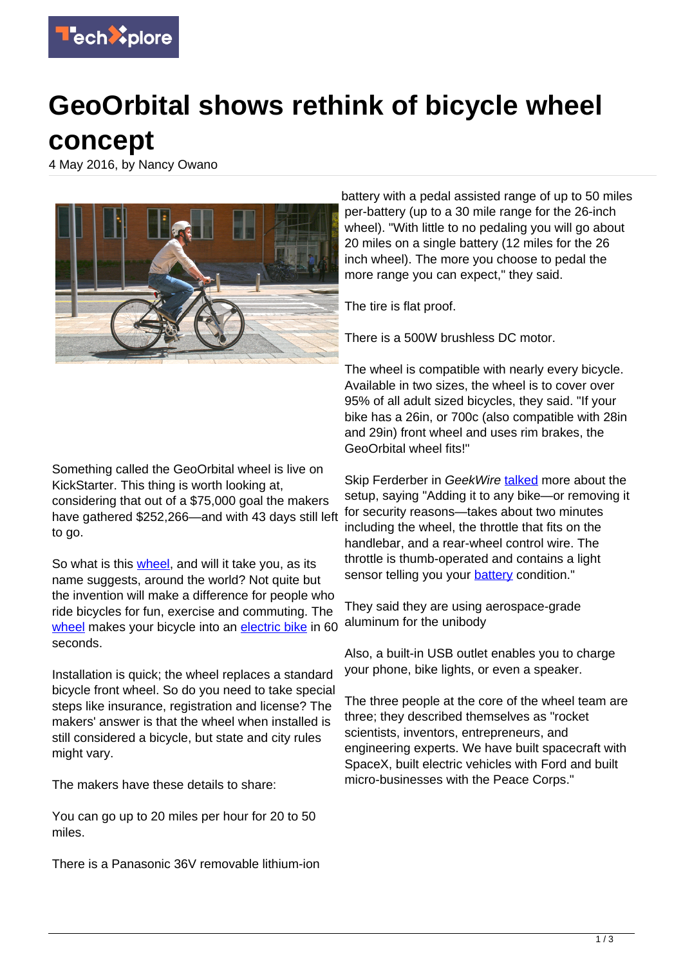

## **GeoOrbital shows rethink of bicycle wheel**

**concept**

4 May 2016, by Nancy Owano



Something called the GeoOrbital wheel is live on KickStarter. This thing is worth looking at, considering that out of a \$75,000 goal the makers have gathered \$252,266—and with 43 days still left to go.

So what is this *wheel*, and will it take you, as its name suggests, around the world? Not quite but the invention will make a difference for people who ride bicycles for fun, exercise and commuting. The [wheel](https://www.kickstarter.com/projects/1266381423/geoorbital-wheel-make-your-bike-electric-in-60-sec?ref=project_link) makes your bicycle into an [electric bike](https://techxplore.com/tags/electric+bike/) in 60 seconds.

Installation is quick; the wheel replaces a standard bicycle front wheel. So do you need to take special steps like insurance, registration and license? The makers' answer is that the wheel when installed is still considered a bicycle, but state and city rules might vary.

The makers have these details to share:

You can go up to 20 miles per hour for 20 to 50 miles.

There is a Panasonic 36V removable lithium-ion

battery with a pedal assisted range of up to 50 miles per-battery (up to a 30 mile range for the 26-inch wheel). "With little to no pedaling you will go about 20 miles on a single battery (12 miles for the 26 inch wheel). The more you choose to pedal the more range you can expect," they said.

The tire is flat proof.

There is a 500W brushless DC motor.

The wheel is compatible with nearly every bicycle. Available in two sizes, the wheel is to cover over 95% of all adult sized bicycles, they said. "If your bike has a 26in, or 700c (also compatible with 28in and 29in) front wheel and uses rim brakes, the GeoOrbital wheel fits!"

Skip Ferderber in GeekWire [talked](http://www.geekwire.com/2016/re-inventing-electric-bike-geoorbital-goes-tron/) more about the setup, saying "Adding it to any bike—or removing it for security reasons—takes about two minutes including the wheel, the throttle that fits on the handlebar, and a rear-wheel control wire. The throttle is thumb-operated and contains a light sensor telling you your [battery](https://techxplore.com/tags/battery/) condition."

They said they are using aerospace-grade aluminum for the unibody

Also, a built-in USB outlet enables you to charge your phone, bike lights, or even a speaker.

The three people at the core of the wheel team are three; they described themselves as "rocket scientists, inventors, entrepreneurs, and engineering experts. We have built spacecraft with SpaceX, built electric vehicles with Ford and built micro-businesses with the Peace Corps."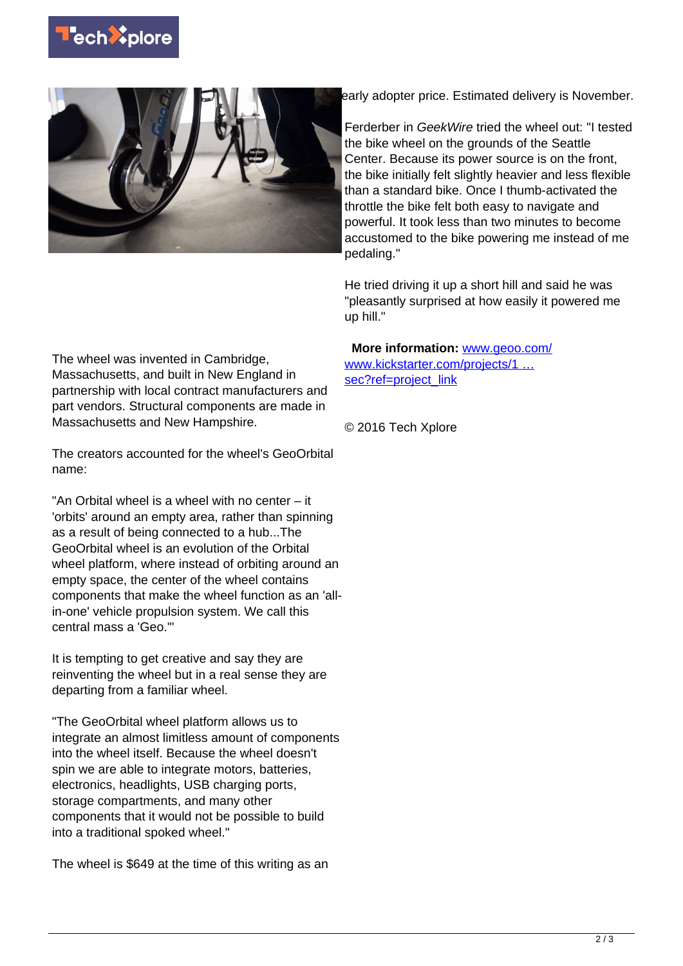



early adopter price. Estimated delivery is November.

Ferderber in GeekWire tried the wheel out: "I tested the bike wheel on the grounds of the Seattle Center. Because its power source is on the front, the bike initially felt slightly heavier and less flexible than a standard bike. Once I thumb-activated the throttle the bike felt both easy to navigate and powerful. It took less than two minutes to become accustomed to the bike powering me instead of me pedaling."

He tried driving it up a short hill and said he was "pleasantly surprised at how easily it powered me up hill."

The wheel was invented in Cambridge, Massachusetts, and built in New England in partnership with local contract manufacturers and part vendors. Structural components are made in Massachusetts and New Hampshire.

The creators accounted for the wheel's GeoOrbital name:

"An Orbital wheel is a wheel with no center – it 'orbits' around an empty area, rather than spinning as a result of being connected to a hub...The GeoOrbital wheel is an evolution of the Orbital wheel platform, where instead of orbiting around an empty space, the center of the wheel contains components that make the wheel function as an 'allin-one' vehicle propulsion system. We call this central mass a 'Geo.'"

It is tempting to get creative and say they are reinventing the wheel but in a real sense they are departing from a familiar wheel.

"The GeoOrbital wheel platform allows us to integrate an almost limitless amount of components into the wheel itself. Because the wheel doesn't spin we are able to integrate motors, batteries, electronics, headlights, USB charging ports, storage compartments, and many other components that it would not be possible to build into a traditional spoked wheel."

The wheel is \$649 at the time of this writing as an

 **More information:** [www.geoo.com/](http://www.geoo.com/) [www.kickstarter.com/projects/1 …](https://www.kickstarter.com/projects/1266381423/geoorbital-wheel-make-your-bike-electric-in-60-sec?ref=project_link) [sec?ref=project\\_link](https://www.kickstarter.com/projects/1266381423/geoorbital-wheel-make-your-bike-electric-in-60-sec?ref=project_link)

© 2016 Tech Xplore